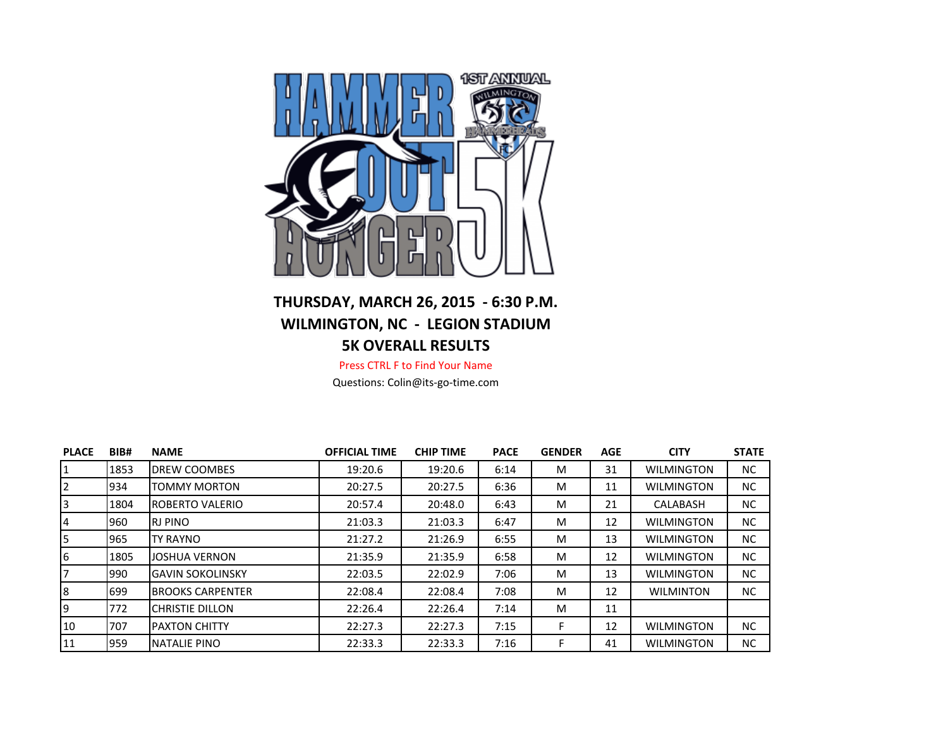

## **THURSDAY, MARCH 26, 2015 - 6:30 P.M. WILMINGTON, NC - LEGION STADIUM 5K OVERALL RESULTS**

Press CTRL F to Find Your Name

Questions: Colin@its-go-time.com

| <b>PLACE</b> | BIB#       | <b>NAME</b>             | <b>OFFICIAL TIME</b> | <b>CHIP TIME</b> | <b>PACE</b> | <b>GENDER</b> | <b>AGE</b> | <b>CITY</b>       | <b>STATE</b> |
|--------------|------------|-------------------------|----------------------|------------------|-------------|---------------|------------|-------------------|--------------|
| 1            | 1853       | <b>DREW COOMBES</b>     | 19:20.6              | 19:20.6          | 6:14        | M             | 31         | <b>WILMINGTON</b> | NC.          |
| 12           | 934        | <b>TOMMY MORTON</b>     | 20:27.5              | 20:27.5          | 6:36        | M             | 11         | <b>WILMINGTON</b> | NC.          |
| 13           | 1804       | <b>IROBERTO VALERIO</b> | 20:57.4              | 20:48.0          | 6:43        | M             | 21         | CALABASH          | <b>NC</b>    |
| 4            | 960        | IRJ PINO                | 21:03.3              | 21:03.3          | 6:47        | M             | 12         | <b>WILMINGTON</b> | NC.          |
| I5           | 965        | <b>TY RAYNO</b>         | 21:27.2              | 21:26.9          | 6:55        | M             | 13         | <b>WILMINGTON</b> | NC.          |
| 6            | 1805       | JOSHUA VERNON           | 21:35.9              | 21:35.9          | 6:58        | M             | 12         | <b>WILMINGTON</b> | NC.          |
| 17           | <b>990</b> | <b>GAVIN SOKOLINSKY</b> | 22:03.5              | 22:02.9          | 7:06        | M             | 13         | <b>WILMINGTON</b> | NC.          |
| 8            | 699        | <b>BROOKS CARPENTER</b> | 22:08.4              | 22:08.4          | 7:08        | M             | 12         | <b>WILMINTON</b>  | NC.          |
| 19           | 772        | ICHRISTIE DILLON        | 22:26.4              | 22:26.4          | 7:14        | M             | 11         |                   |              |
| 10           | 707        | <b>PAXTON CHITTY</b>    | 22:27.3              | 22:27.3          | 7:15        |               | 12         | <b>WILMINGTON</b> | <b>NC</b>    |
| 11           | 959        | <b>NATALIE PINO</b>     | 22:33.3              | 22:33.3          | 7:16        |               | 41         | <b>WILMINGTON</b> | <b>NC</b>    |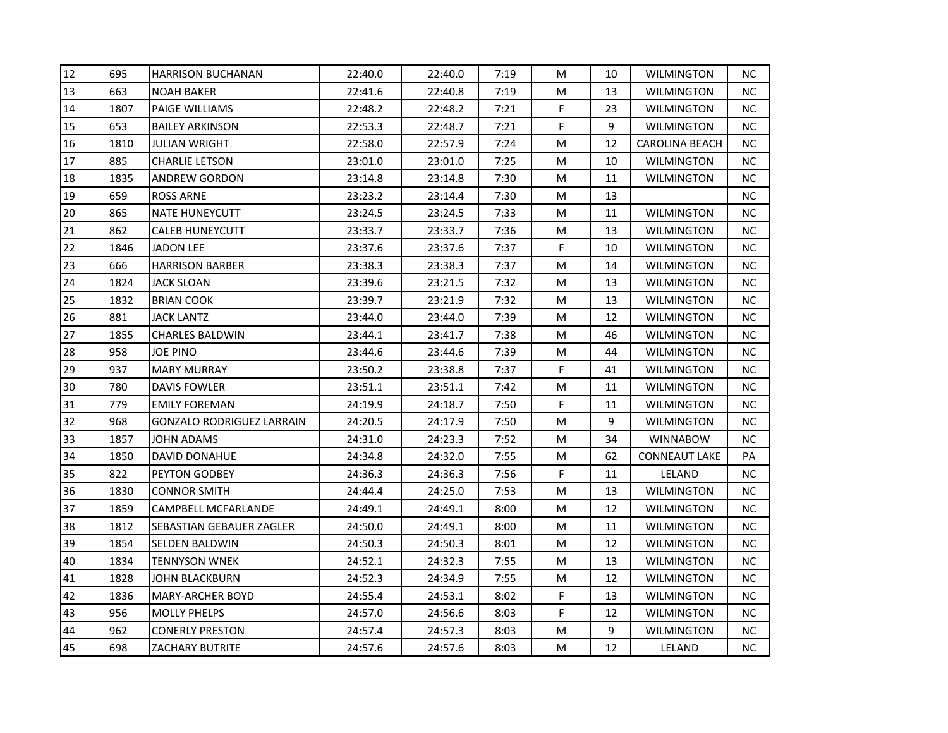| 12<br>695<br>22:40.0<br>22:40.0<br>7:19<br><b>HARRISON BUCHANAN</b><br>M<br>10<br>13<br>663<br><b>NOAH BAKER</b><br>22:41.6<br>22:40.8<br>7:19<br>M<br>13<br>F<br>14<br>1807<br><b>PAIGE WILLIAMS</b><br>22:48.2<br>22:48.2<br>7:21<br>23<br>15<br>653<br>F<br>9<br><b>BAILEY ARKINSON</b><br>22:53.3<br>22:48.7<br>7:21<br>16<br>1810<br><b>JULIAN WRIGHT</b><br>22:58.0<br>22:57.9<br>7:24<br>M<br>12<br>17<br>885<br>CHARLIE LETSON<br>23:01.0<br>23:01.0<br>7:25<br>M<br>10<br>18<br>1835<br>23:14.8<br>23:14.8<br>ANDREW GORDON<br>7:30<br>M<br>11<br>19<br>659<br><b>ROSS ARNE</b><br>23:23.2<br>23:14.4<br>7:30<br>M<br>13<br>20<br>865<br><b>NATE HUNEYCUTT</b><br>23:24.5<br>23:24.5<br>7:33<br>M<br>11<br>21<br>862<br><b>CALEB HUNEYCUTT</b><br>23:33.7<br>23:33.7<br>7:36<br>M<br>13<br>22<br>F<br>1846<br>23:37.6<br>23:37.6<br>7:37<br>JADON LEE<br>10<br>23<br>23:38.3<br>23:38.3<br>7:37<br>666<br><b>HARRISON BARBER</b><br>M<br>14<br>24<br>1824<br>23:39.6<br>23:21.5<br><b>JACK SLOAN</b><br>7:32<br>M<br>13<br>25<br>1832<br>23:39.7<br>23:21.9<br>7:32<br>M<br>13<br><b>BRIAN COOK</b><br>26<br>881<br>7:39<br>M<br>JACK LANTZ<br>23:44.0<br>23:44.0<br>12<br>27<br>1855<br>7:38<br>CHARLES BALDWIN<br>23:44.1<br>23:41.7<br>M<br>46<br>28<br>958<br>JOE PINO<br>23:44.6<br>23:44.6<br>7:39<br>M<br>44<br>29<br>937<br>F<br>23:50.2<br>23:38.8<br>7:37<br><b>MARY MURRAY</b><br>41<br>30<br>780<br><b>DAVIS FOWLER</b><br>23:51.1<br>23:51.1<br>7:42<br>M<br>11<br>F<br>31<br>779<br>24:19.9<br>24:18.7<br>7:50<br><b>EMILY FOREMAN</b><br>11<br>32<br>968<br>24:20.5<br>7:50<br>9<br>GONZALO RODRIGUEZ LARRAIN<br>24:17.9<br>M<br>33<br>1857<br>24:31.0<br>24:23.3<br>7:52<br>JOHN ADAMS<br>M<br>34<br>34<br>1850<br>DAVID DONAHUE<br>24:34.8<br>24:32.0<br>7:55<br>M<br>62<br>F<br>35<br>822<br>PEYTON GODBEY<br>24:36.3<br>24:36.3<br>7:56<br>11<br>36<br>1830<br>7:53<br>M<br><b>CONNOR SMITH</b><br>24:44.4<br>24:25.0<br>13<br>37<br>1859<br>CAMPBELL MCFARLANDE<br>24:49.1<br>24:49.1<br>8:00<br>M<br>12<br>38<br>1812<br>SEBASTIAN GEBAUER ZAGLER<br>24:50.0<br>24:49.1<br>8:00<br>M<br>11<br>39<br>1854<br><b>SELDEN BALDWIN</b><br>24:50.3<br>24:50.3<br>8:01<br>M<br>12<br>40<br>1834<br><b>TENNYSON WNEK</b><br>24:52.1<br>24:32.3<br>7:55<br>M<br>13<br>1828<br>7:55<br>41<br>24:52.3<br>24:34.9<br>M<br>12<br>JOHN BLACKBURN<br>F<br>42<br>1836<br>24:55.4<br>24:53.1<br>8:02<br><b>MARY-ARCHER BOYD</b><br>13<br>F<br>43<br>956<br><b>MOLLY PHELPS</b><br>24:57.0<br>24:56.6<br>8:03<br>12<br>9<br>962<br><b>CONERLY PRESTON</b><br>24:57.4<br>24:57.3<br>8:03<br>44<br>м |    |     |                        |         |         |      |   |    |                       |           |
|----------------------------------------------------------------------------------------------------------------------------------------------------------------------------------------------------------------------------------------------------------------------------------------------------------------------------------------------------------------------------------------------------------------------------------------------------------------------------------------------------------------------------------------------------------------------------------------------------------------------------------------------------------------------------------------------------------------------------------------------------------------------------------------------------------------------------------------------------------------------------------------------------------------------------------------------------------------------------------------------------------------------------------------------------------------------------------------------------------------------------------------------------------------------------------------------------------------------------------------------------------------------------------------------------------------------------------------------------------------------------------------------------------------------------------------------------------------------------------------------------------------------------------------------------------------------------------------------------------------------------------------------------------------------------------------------------------------------------------------------------------------------------------------------------------------------------------------------------------------------------------------------------------------------------------------------------------------------------------------------------------------------------------------------------------------------------------------------------------------------------------------------------------------------------------------------------------------------------------------------------------------------------------------------------------------------------------------------------------------------------------------------------------------------------------------------------------------------------------------------------------------------------------------------------------------------------------------------------------------|----|-----|------------------------|---------|---------|------|---|----|-----------------------|-----------|
|                                                                                                                                                                                                                                                                                                                                                                                                                                                                                                                                                                                                                                                                                                                                                                                                                                                                                                                                                                                                                                                                                                                                                                                                                                                                                                                                                                                                                                                                                                                                                                                                                                                                                                                                                                                                                                                                                                                                                                                                                                                                                                                                                                                                                                                                                                                                                                                                                                                                                                                                                                                                                |    |     |                        |         |         |      |   |    | <b>WILMINGTON</b>     | NC.       |
|                                                                                                                                                                                                                                                                                                                                                                                                                                                                                                                                                                                                                                                                                                                                                                                                                                                                                                                                                                                                                                                                                                                                                                                                                                                                                                                                                                                                                                                                                                                                                                                                                                                                                                                                                                                                                                                                                                                                                                                                                                                                                                                                                                                                                                                                                                                                                                                                                                                                                                                                                                                                                |    |     |                        |         |         |      |   |    | <b>WILMINGTON</b>     | NC.       |
|                                                                                                                                                                                                                                                                                                                                                                                                                                                                                                                                                                                                                                                                                                                                                                                                                                                                                                                                                                                                                                                                                                                                                                                                                                                                                                                                                                                                                                                                                                                                                                                                                                                                                                                                                                                                                                                                                                                                                                                                                                                                                                                                                                                                                                                                                                                                                                                                                                                                                                                                                                                                                |    |     |                        |         |         |      |   |    | WILMINGTON            | NC.       |
|                                                                                                                                                                                                                                                                                                                                                                                                                                                                                                                                                                                                                                                                                                                                                                                                                                                                                                                                                                                                                                                                                                                                                                                                                                                                                                                                                                                                                                                                                                                                                                                                                                                                                                                                                                                                                                                                                                                                                                                                                                                                                                                                                                                                                                                                                                                                                                                                                                                                                                                                                                                                                |    |     |                        |         |         |      |   |    | <b>WILMINGTON</b>     | NC.       |
|                                                                                                                                                                                                                                                                                                                                                                                                                                                                                                                                                                                                                                                                                                                                                                                                                                                                                                                                                                                                                                                                                                                                                                                                                                                                                                                                                                                                                                                                                                                                                                                                                                                                                                                                                                                                                                                                                                                                                                                                                                                                                                                                                                                                                                                                                                                                                                                                                                                                                                                                                                                                                |    |     |                        |         |         |      |   |    | <b>CAROLINA BEACH</b> | NC.       |
|                                                                                                                                                                                                                                                                                                                                                                                                                                                                                                                                                                                                                                                                                                                                                                                                                                                                                                                                                                                                                                                                                                                                                                                                                                                                                                                                                                                                                                                                                                                                                                                                                                                                                                                                                                                                                                                                                                                                                                                                                                                                                                                                                                                                                                                                                                                                                                                                                                                                                                                                                                                                                |    |     |                        |         |         |      |   |    | WILMINGTON            | NC.       |
|                                                                                                                                                                                                                                                                                                                                                                                                                                                                                                                                                                                                                                                                                                                                                                                                                                                                                                                                                                                                                                                                                                                                                                                                                                                                                                                                                                                                                                                                                                                                                                                                                                                                                                                                                                                                                                                                                                                                                                                                                                                                                                                                                                                                                                                                                                                                                                                                                                                                                                                                                                                                                |    |     |                        |         |         |      |   |    | <b>WILMINGTON</b>     | NC.       |
|                                                                                                                                                                                                                                                                                                                                                                                                                                                                                                                                                                                                                                                                                                                                                                                                                                                                                                                                                                                                                                                                                                                                                                                                                                                                                                                                                                                                                                                                                                                                                                                                                                                                                                                                                                                                                                                                                                                                                                                                                                                                                                                                                                                                                                                                                                                                                                                                                                                                                                                                                                                                                |    |     |                        |         |         |      |   |    |                       | NC.       |
|                                                                                                                                                                                                                                                                                                                                                                                                                                                                                                                                                                                                                                                                                                                                                                                                                                                                                                                                                                                                                                                                                                                                                                                                                                                                                                                                                                                                                                                                                                                                                                                                                                                                                                                                                                                                                                                                                                                                                                                                                                                                                                                                                                                                                                                                                                                                                                                                                                                                                                                                                                                                                |    |     |                        |         |         |      |   |    | <b>WILMINGTON</b>     | <b>NC</b> |
|                                                                                                                                                                                                                                                                                                                                                                                                                                                                                                                                                                                                                                                                                                                                                                                                                                                                                                                                                                                                                                                                                                                                                                                                                                                                                                                                                                                                                                                                                                                                                                                                                                                                                                                                                                                                                                                                                                                                                                                                                                                                                                                                                                                                                                                                                                                                                                                                                                                                                                                                                                                                                |    |     |                        |         |         |      |   |    | <b>WILMINGTON</b>     | NC.       |
|                                                                                                                                                                                                                                                                                                                                                                                                                                                                                                                                                                                                                                                                                                                                                                                                                                                                                                                                                                                                                                                                                                                                                                                                                                                                                                                                                                                                                                                                                                                                                                                                                                                                                                                                                                                                                                                                                                                                                                                                                                                                                                                                                                                                                                                                                                                                                                                                                                                                                                                                                                                                                |    |     |                        |         |         |      |   |    | <b>WILMINGTON</b>     | NC.       |
|                                                                                                                                                                                                                                                                                                                                                                                                                                                                                                                                                                                                                                                                                                                                                                                                                                                                                                                                                                                                                                                                                                                                                                                                                                                                                                                                                                                                                                                                                                                                                                                                                                                                                                                                                                                                                                                                                                                                                                                                                                                                                                                                                                                                                                                                                                                                                                                                                                                                                                                                                                                                                |    |     |                        |         |         |      |   |    | WILMINGTON            | NC.       |
|                                                                                                                                                                                                                                                                                                                                                                                                                                                                                                                                                                                                                                                                                                                                                                                                                                                                                                                                                                                                                                                                                                                                                                                                                                                                                                                                                                                                                                                                                                                                                                                                                                                                                                                                                                                                                                                                                                                                                                                                                                                                                                                                                                                                                                                                                                                                                                                                                                                                                                                                                                                                                |    |     |                        |         |         |      |   |    | <b>WILMINGTON</b>     | NC        |
|                                                                                                                                                                                                                                                                                                                                                                                                                                                                                                                                                                                                                                                                                                                                                                                                                                                                                                                                                                                                                                                                                                                                                                                                                                                                                                                                                                                                                                                                                                                                                                                                                                                                                                                                                                                                                                                                                                                                                                                                                                                                                                                                                                                                                                                                                                                                                                                                                                                                                                                                                                                                                |    |     |                        |         |         |      |   |    | <b>WILMINGTON</b>     | NC.       |
|                                                                                                                                                                                                                                                                                                                                                                                                                                                                                                                                                                                                                                                                                                                                                                                                                                                                                                                                                                                                                                                                                                                                                                                                                                                                                                                                                                                                                                                                                                                                                                                                                                                                                                                                                                                                                                                                                                                                                                                                                                                                                                                                                                                                                                                                                                                                                                                                                                                                                                                                                                                                                |    |     |                        |         |         |      |   |    | WILMINGTON            | NC.       |
|                                                                                                                                                                                                                                                                                                                                                                                                                                                                                                                                                                                                                                                                                                                                                                                                                                                                                                                                                                                                                                                                                                                                                                                                                                                                                                                                                                                                                                                                                                                                                                                                                                                                                                                                                                                                                                                                                                                                                                                                                                                                                                                                                                                                                                                                                                                                                                                                                                                                                                                                                                                                                |    |     |                        |         |         |      |   |    | WILMINGTON            | NC.       |
|                                                                                                                                                                                                                                                                                                                                                                                                                                                                                                                                                                                                                                                                                                                                                                                                                                                                                                                                                                                                                                                                                                                                                                                                                                                                                                                                                                                                                                                                                                                                                                                                                                                                                                                                                                                                                                                                                                                                                                                                                                                                                                                                                                                                                                                                                                                                                                                                                                                                                                                                                                                                                |    |     |                        |         |         |      |   |    | WILMINGTON            | NC.       |
|                                                                                                                                                                                                                                                                                                                                                                                                                                                                                                                                                                                                                                                                                                                                                                                                                                                                                                                                                                                                                                                                                                                                                                                                                                                                                                                                                                                                                                                                                                                                                                                                                                                                                                                                                                                                                                                                                                                                                                                                                                                                                                                                                                                                                                                                                                                                                                                                                                                                                                                                                                                                                |    |     |                        |         |         |      |   |    | WILMINGTON            | NC.       |
|                                                                                                                                                                                                                                                                                                                                                                                                                                                                                                                                                                                                                                                                                                                                                                                                                                                                                                                                                                                                                                                                                                                                                                                                                                                                                                                                                                                                                                                                                                                                                                                                                                                                                                                                                                                                                                                                                                                                                                                                                                                                                                                                                                                                                                                                                                                                                                                                                                                                                                                                                                                                                |    |     |                        |         |         |      |   |    | <b>WILMINGTON</b>     | NC.       |
|                                                                                                                                                                                                                                                                                                                                                                                                                                                                                                                                                                                                                                                                                                                                                                                                                                                                                                                                                                                                                                                                                                                                                                                                                                                                                                                                                                                                                                                                                                                                                                                                                                                                                                                                                                                                                                                                                                                                                                                                                                                                                                                                                                                                                                                                                                                                                                                                                                                                                                                                                                                                                |    |     |                        |         |         |      |   |    | <b>WILMINGTON</b>     | NC.       |
|                                                                                                                                                                                                                                                                                                                                                                                                                                                                                                                                                                                                                                                                                                                                                                                                                                                                                                                                                                                                                                                                                                                                                                                                                                                                                                                                                                                                                                                                                                                                                                                                                                                                                                                                                                                                                                                                                                                                                                                                                                                                                                                                                                                                                                                                                                                                                                                                                                                                                                                                                                                                                |    |     |                        |         |         |      |   |    | WILMINGTON            | NC.       |
|                                                                                                                                                                                                                                                                                                                                                                                                                                                                                                                                                                                                                                                                                                                                                                                                                                                                                                                                                                                                                                                                                                                                                                                                                                                                                                                                                                                                                                                                                                                                                                                                                                                                                                                                                                                                                                                                                                                                                                                                                                                                                                                                                                                                                                                                                                                                                                                                                                                                                                                                                                                                                |    |     |                        |         |         |      |   |    | <b>WINNABOW</b>       | NC.       |
|                                                                                                                                                                                                                                                                                                                                                                                                                                                                                                                                                                                                                                                                                                                                                                                                                                                                                                                                                                                                                                                                                                                                                                                                                                                                                                                                                                                                                                                                                                                                                                                                                                                                                                                                                                                                                                                                                                                                                                                                                                                                                                                                                                                                                                                                                                                                                                                                                                                                                                                                                                                                                |    |     |                        |         |         |      |   |    | <b>CONNEAUT LAKE</b>  | PA        |
|                                                                                                                                                                                                                                                                                                                                                                                                                                                                                                                                                                                                                                                                                                                                                                                                                                                                                                                                                                                                                                                                                                                                                                                                                                                                                                                                                                                                                                                                                                                                                                                                                                                                                                                                                                                                                                                                                                                                                                                                                                                                                                                                                                                                                                                                                                                                                                                                                                                                                                                                                                                                                |    |     |                        |         |         |      |   |    | LELAND                | NC.       |
|                                                                                                                                                                                                                                                                                                                                                                                                                                                                                                                                                                                                                                                                                                                                                                                                                                                                                                                                                                                                                                                                                                                                                                                                                                                                                                                                                                                                                                                                                                                                                                                                                                                                                                                                                                                                                                                                                                                                                                                                                                                                                                                                                                                                                                                                                                                                                                                                                                                                                                                                                                                                                |    |     |                        |         |         |      |   |    | <b>WILMINGTON</b>     | NC.       |
|                                                                                                                                                                                                                                                                                                                                                                                                                                                                                                                                                                                                                                                                                                                                                                                                                                                                                                                                                                                                                                                                                                                                                                                                                                                                                                                                                                                                                                                                                                                                                                                                                                                                                                                                                                                                                                                                                                                                                                                                                                                                                                                                                                                                                                                                                                                                                                                                                                                                                                                                                                                                                |    |     |                        |         |         |      |   |    | <b>WILMINGTON</b>     | NC.       |
|                                                                                                                                                                                                                                                                                                                                                                                                                                                                                                                                                                                                                                                                                                                                                                                                                                                                                                                                                                                                                                                                                                                                                                                                                                                                                                                                                                                                                                                                                                                                                                                                                                                                                                                                                                                                                                                                                                                                                                                                                                                                                                                                                                                                                                                                                                                                                                                                                                                                                                                                                                                                                |    |     |                        |         |         |      |   |    | WILMINGTON            | NC.       |
|                                                                                                                                                                                                                                                                                                                                                                                                                                                                                                                                                                                                                                                                                                                                                                                                                                                                                                                                                                                                                                                                                                                                                                                                                                                                                                                                                                                                                                                                                                                                                                                                                                                                                                                                                                                                                                                                                                                                                                                                                                                                                                                                                                                                                                                                                                                                                                                                                                                                                                                                                                                                                |    |     |                        |         |         |      |   |    | WILMINGTON            | NC.       |
|                                                                                                                                                                                                                                                                                                                                                                                                                                                                                                                                                                                                                                                                                                                                                                                                                                                                                                                                                                                                                                                                                                                                                                                                                                                                                                                                                                                                                                                                                                                                                                                                                                                                                                                                                                                                                                                                                                                                                                                                                                                                                                                                                                                                                                                                                                                                                                                                                                                                                                                                                                                                                |    |     |                        |         |         |      |   |    | WILMINGTON            | NC.       |
|                                                                                                                                                                                                                                                                                                                                                                                                                                                                                                                                                                                                                                                                                                                                                                                                                                                                                                                                                                                                                                                                                                                                                                                                                                                                                                                                                                                                                                                                                                                                                                                                                                                                                                                                                                                                                                                                                                                                                                                                                                                                                                                                                                                                                                                                                                                                                                                                                                                                                                                                                                                                                |    |     |                        |         |         |      |   |    | WILMINGTON            | NC.       |
|                                                                                                                                                                                                                                                                                                                                                                                                                                                                                                                                                                                                                                                                                                                                                                                                                                                                                                                                                                                                                                                                                                                                                                                                                                                                                                                                                                                                                                                                                                                                                                                                                                                                                                                                                                                                                                                                                                                                                                                                                                                                                                                                                                                                                                                                                                                                                                                                                                                                                                                                                                                                                |    |     |                        |         |         |      |   |    | WILMINGTON            | NC.       |
|                                                                                                                                                                                                                                                                                                                                                                                                                                                                                                                                                                                                                                                                                                                                                                                                                                                                                                                                                                                                                                                                                                                                                                                                                                                                                                                                                                                                                                                                                                                                                                                                                                                                                                                                                                                                                                                                                                                                                                                                                                                                                                                                                                                                                                                                                                                                                                                                                                                                                                                                                                                                                |    |     |                        |         |         |      |   |    | WILMINGTON            | NC.       |
|                                                                                                                                                                                                                                                                                                                                                                                                                                                                                                                                                                                                                                                                                                                                                                                                                                                                                                                                                                                                                                                                                                                                                                                                                                                                                                                                                                                                                                                                                                                                                                                                                                                                                                                                                                                                                                                                                                                                                                                                                                                                                                                                                                                                                                                                                                                                                                                                                                                                                                                                                                                                                |    |     |                        |         |         |      |   |    | <b>WILMINGTON</b>     | NC.       |
|                                                                                                                                                                                                                                                                                                                                                                                                                                                                                                                                                                                                                                                                                                                                                                                                                                                                                                                                                                                                                                                                                                                                                                                                                                                                                                                                                                                                                                                                                                                                                                                                                                                                                                                                                                                                                                                                                                                                                                                                                                                                                                                                                                                                                                                                                                                                                                                                                                                                                                                                                                                                                | 45 | 698 | <b>ZACHARY BUTRITE</b> | 24:57.6 | 24:57.6 | 8:03 | M | 12 | LELAND                | NC.       |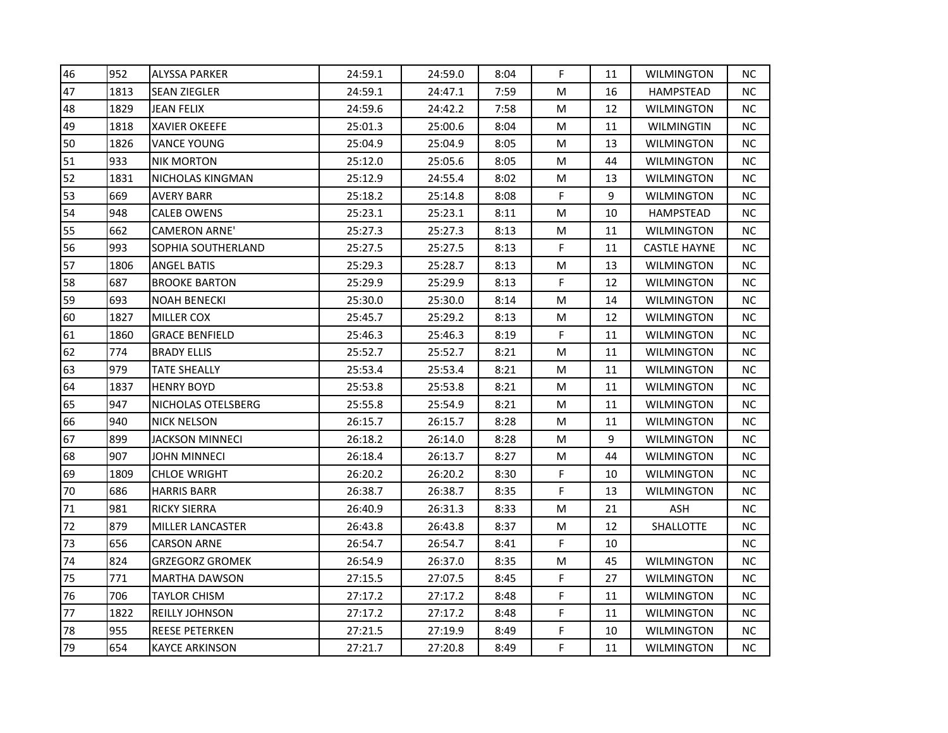| 46 | 952  | <b>ALYSSA PARKER</b>    | 24:59.1 | 24:59.0 | 8:04 | F           | 11 | <b>WILMINGTON</b>   | NС        |
|----|------|-------------------------|---------|---------|------|-------------|----|---------------------|-----------|
| 47 | 1813 | <b>SEAN ZIEGLER</b>     | 24:59.1 | 24:47.1 | 7:59 | M           | 16 | <b>HAMPSTEAD</b>    | <b>NC</b> |
| 48 | 1829 | JEAN FELIX              | 24:59.6 | 24:42.2 | 7:58 | M           | 12 | <b>WILMINGTON</b>   | NC.       |
| 49 | 1818 | <b>XAVIER OKEEFE</b>    | 25:01.3 | 25:00.6 | 8:04 | M           | 11 | WILMINGTIN          | NC.       |
| 50 | 1826 | VANCE YOUNG             | 25:04.9 | 25:04.9 | 8:05 | M           | 13 | WILMINGTON          | NC.       |
| 51 | 933  | <b>NIK MORTON</b>       | 25:12.0 | 25:05.6 | 8:05 | M           | 44 | <b>WILMINGTON</b>   | <b>NC</b> |
| 52 | 1831 | <b>NICHOLAS KINGMAN</b> | 25:12.9 | 24:55.4 | 8:02 | M           | 13 | <b>WILMINGTON</b>   | <b>NC</b> |
| 53 | 669  | AVERY BARR              | 25:18.2 | 25:14.8 | 8:08 | F           | 9  | WILMINGTON          | NС        |
| 54 | 948  | <b>CALEB OWENS</b>      | 25:23.1 | 25:23.1 | 8:11 | M           | 10 | HAMPSTEAD           | NC.       |
| 55 | 662  | <b>CAMERON ARNE'</b>    | 25:27.3 | 25:27.3 | 8:13 | M           | 11 | WILMINGTON          | NC.       |
| 56 | 993  | SOPHIA SOUTHERLAND      | 25:27.5 | 25:27.5 | 8:13 | F           | 11 | <b>CASTLE HAYNE</b> | NС        |
| 57 | 1806 | <b>ANGEL BATIS</b>      | 25:29.3 | 25:28.7 | 8:13 | M           | 13 | <b>WILMINGTON</b>   | <b>NC</b> |
| 58 | 687  | <b>BROOKE BARTON</b>    | 25:29.9 | 25:29.9 | 8:13 | $\mathsf F$ | 12 | WILMINGTON          | <b>NC</b> |
| 59 | 693  | <b>NOAH BENECKI</b>     | 25:30.0 | 25:30.0 | 8:14 | M           | 14 | WILMINGTON          | NС        |
| 60 | 1827 | MILLER COX              | 25:45.7 | 25:29.2 | 8:13 | M           | 12 | <b>WILMINGTON</b>   | <b>NC</b> |
| 61 | 1860 | <b>GRACE BENFIELD</b>   | 25:46.3 | 25:46.3 | 8:19 | F           | 11 | WILMINGTON          | NС        |
| 62 | 774  | <b>BRADY ELLIS</b>      | 25:52.7 | 25:52.7 | 8:21 | M           | 11 | WILMINGTON          | NС        |
| 63 | 979  | TATE SHEALLY            | 25:53.4 | 25:53.4 | 8:21 | M           | 11 | <b>WILMINGTON</b>   | <b>NC</b> |
| 64 | 1837 | <b>HENRY BOYD</b>       | 25:53.8 | 25:53.8 | 8:21 | M           | 11 | WILMINGTON          | NC.       |
| 65 | 947  | NICHOLAS OTELSBERG      | 25:55.8 | 25:54.9 | 8:21 | ${\sf M}$   | 11 | WILMINGTON          | NC.       |
| 66 | 940  | <b>NICK NELSON</b>      | 26:15.7 | 26:15.7 | 8:28 | M           | 11 | WILMINGTON          | NC.       |
| 67 | 899  | JACKSON MINNECI         | 26:18.2 | 26:14.0 | 8:28 | M           | 9  | <b>WILMINGTON</b>   | NС        |
| 68 | 907  | <b>JOHN MINNECI</b>     | 26:18.4 | 26:13.7 | 8:27 | M           | 44 | <b>WILMINGTON</b>   | <b>NC</b> |
| 69 | 1809 | <b>CHLOE WRIGHT</b>     | 26:20.2 | 26:20.2 | 8:30 | F           | 10 | <b>WILMINGTON</b>   | NС        |
| 70 | 686  | <b>HARRIS BARR</b>      | 26:38.7 | 26:38.7 | 8:35 | F           | 13 | WILMINGTON          | NC.       |
| 71 | 981  | RICKY SIERRA            | 26:40.9 | 26:31.3 | 8:33 | M           | 21 | ASH                 | NC.       |
| 72 | 879  | <b>MILLER LANCASTER</b> | 26:43.8 | 26:43.8 | 8:37 | M           | 12 | SHALLOTTE           | NC.       |
| 73 | 656  | <b>CARSON ARNE</b>      | 26:54.7 | 26:54.7 | 8:41 | F           | 10 |                     | <b>NC</b> |
| 74 | 824  | <b>GRZEGORZ GROMEK</b>  | 26:54.9 | 26:37.0 | 8:35 | M           | 45 | <b>WILMINGTON</b>   | NC.       |
| 75 | 771  | <b>MARTHA DAWSON</b>    | 27:15.5 | 27:07.5 | 8:45 | F           | 27 | <b>WILMINGTON</b>   | NC.       |
| 76 | 706  | TAYLOR CHISM            | 27:17.2 | 27:17.2 | 8:48 | F           | 11 | WILMINGTON          | NC.       |
| 77 | 1822 | REILLY JOHNSON          | 27:17.2 | 27:17.2 | 8:48 | F           | 11 | <b>WILMINGTON</b>   | <b>NC</b> |
| 78 | 955  | <b>REESE PETERKEN</b>   | 27:21.5 | 27:19.9 | 8:49 | F           | 10 | <b>WILMINGTON</b>   | <b>NC</b> |
| 79 | 654  | <b>KAYCE ARKINSON</b>   | 27:21.7 | 27:20.8 | 8:49 | F           | 11 | WILMINGTON          | NC.       |
|    |      |                         |         |         |      |             |    |                     |           |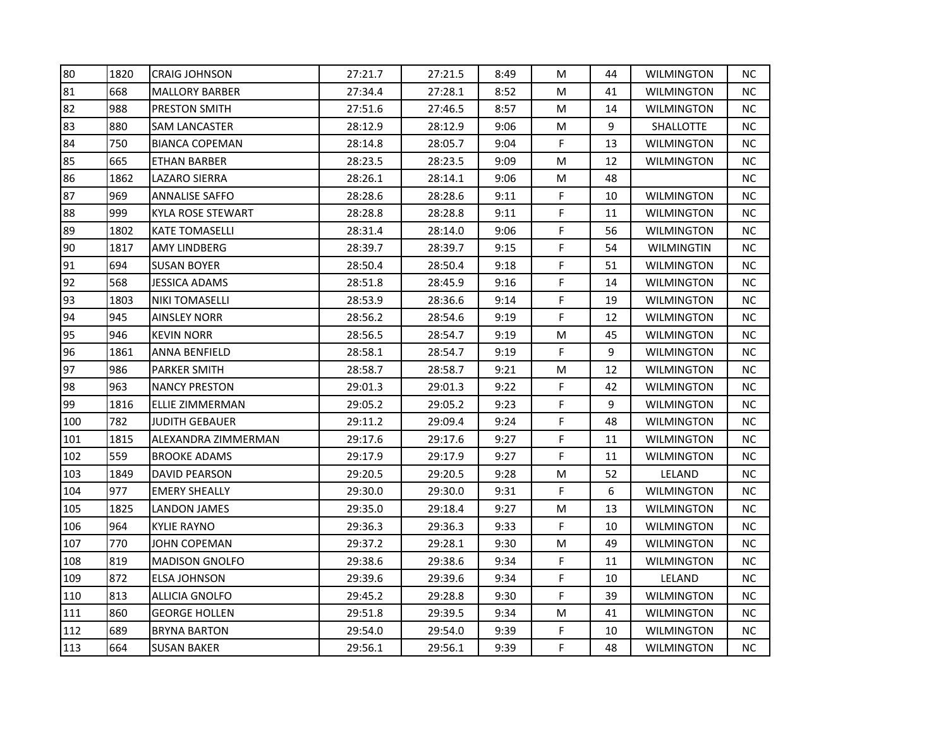| 80  | 1820 | <b>CRAIG JOHNSON</b>  | 27:21.7 | 27:21.5 | 8:49 | М | 44 | <b>WILMINGTON</b> | NC.       |
|-----|------|-----------------------|---------|---------|------|---|----|-------------------|-----------|
| 81  | 668  | <b>MALLORY BARBER</b> | 27:34.4 | 27:28.1 | 8:52 | M | 41 | <b>WILMINGTON</b> | NC.       |
| 82  | 988  | <b>PRESTON SMITH</b>  | 27:51.6 | 27:46.5 | 8:57 | M | 14 | WILMINGTON        | NC.       |
| 83  | 880  | <b>SAM LANCASTER</b>  | 28:12.9 | 28:12.9 | 9:06 | M | 9  | SHALLOTTE         | NC.       |
| 84  | 750  | <b>BIANCA COPEMAN</b> | 28:14.8 | 28:05.7 | 9:04 | F | 13 | WILMINGTON        | NC.       |
| 85  | 665  | <b>ETHAN BARBER</b>   | 28:23.5 | 28:23.5 | 9:09 | М | 12 | WILMINGTON        | NC.       |
| 86  | 1862 | LAZARO SIERRA         | 28:26.1 | 28:14.1 | 9:06 | M | 48 |                   | NC.       |
| 87  | 969  | <b>ANNALISE SAFFO</b> | 28:28.6 | 28:28.6 | 9:11 | F | 10 | <b>WILMINGTON</b> | NC.       |
| 88  | 999  | KYLA ROSE STEWART     | 28:28.8 | 28:28.8 | 9:11 | F | 11 | <b>WILMINGTON</b> | NC.       |
| 89  | 1802 | <b>KATE TOMASELLI</b> | 28:31.4 | 28:14.0 | 9:06 | F | 56 | <b>WILMINGTON</b> | NC.       |
| 90  | 1817 | AMY LINDBERG          | 28:39.7 | 28:39.7 | 9:15 | F | 54 | WILMINGTIN        | NC.       |
| 91  | 694  | <b>SUSAN BOYER</b>    | 28:50.4 | 28:50.4 | 9:18 | F | 51 | WILMINGTON        | NC.       |
| 92  | 568  | JESSICA ADAMS         | 28:51.8 | 28:45.9 | 9:16 | F | 14 | <b>WILMINGTON</b> | NC        |
| 93  | 1803 | <b>NIKI TOMASELLI</b> | 28:53.9 | 28:36.6 | 9:14 | F | 19 | <b>WILMINGTON</b> | NC.       |
| 94  | 945  | AINSLEY NORR          | 28:56.2 | 28:54.6 | 9:19 | F | 12 | WILMINGTON        | NC.       |
| 95  | 946  | KEVIN NORR            | 28:56.5 | 28:54.7 | 9:19 | M | 45 | WILMINGTON        | NC.       |
| 96  | 1861 | ANNA BENFIELD         | 28:58.1 | 28:54.7 | 9:19 | F | 9  | <b>WILMINGTON</b> | NC.       |
| 97  | 986  | <b>PARKER SMITH</b>   | 28:58.7 | 28:58.7 | 9:21 | M | 12 | WILMINGTON        | NC.       |
| 98  | 963  | <b>NANCY PRESTON</b>  | 29:01.3 | 29:01.3 | 9:22 | F | 42 | <b>WILMINGTON</b> | NC.       |
| 99  | 1816 | ELLIE ZIMMERMAN       | 29:05.2 | 29:05.2 | 9:23 | F | 9  | <b>WILMINGTON</b> | NC.       |
| 100 | 782  | JUDITH GEBAUER        | 29:11.2 | 29:09.4 | 9:24 | F | 48 | WILMINGTON        | NC.       |
| 101 | 1815 | ALEXANDRA ZIMMERMAN   | 29:17.6 | 29:17.6 | 9:27 | F | 11 | WILMINGTON        | NC.       |
| 102 | 559  | <b>BROOKE ADAMS</b>   | 29:17.9 | 29:17.9 | 9:27 | F | 11 | <b>WILMINGTON</b> | NC.       |
| 103 | 1849 | DAVID PEARSON         | 29:20.5 | 29:20.5 | 9:28 | M | 52 | LELAND            | NC.       |
| 104 | 977  | <b>EMERY SHEALLY</b>  | 29:30.0 | 29:30.0 | 9:31 | F | 6  | <b>WILMINGTON</b> | NC.       |
| 105 | 1825 | LANDON JAMES          | 29:35.0 | 29:18.4 | 9:27 | M | 13 | <b>WILMINGTON</b> | NC.       |
| 106 | 964  | <b>KYLIE RAYNO</b>    | 29:36.3 | 29:36.3 | 9:33 | F | 10 | WILMINGTON        | NC.       |
| 107 | 770  | JOHN COPEMAN          | 29:37.2 | 29:28.1 | 9:30 | M | 49 | WILMINGTON        | NC.       |
| 108 | 819  | <b>MADISON GNOLFO</b> | 29:38.6 | 29:38.6 | 9:34 | F | 11 | WILMINGTON        | NC.       |
| 109 | 872  | ELSA JOHNSON          | 29:39.6 | 29:39.6 | 9:34 | F | 10 | LELAND            | NC.       |
| 110 | 813  | ALLICIA GNOLFO        | 29:45.2 | 29:28.8 | 9:30 | F | 39 | <b>WILMINGTON</b> | <b>NC</b> |
| 111 | 860  | <b>GEORGE HOLLEN</b>  | 29:51.8 | 29:39.5 | 9:34 | M | 41 | <b>WILMINGTON</b> | NC.       |
| 112 | 689  | <b>BRYNA BARTON</b>   | 29:54.0 | 29:54.0 | 9:39 | F | 10 | <b>WILMINGTON</b> | NC.       |
| 113 | 664  | <b>SUSAN BAKER</b>    | 29:56.1 | 29:56.1 | 9:39 | F | 48 | WILMINGTON        | <b>NC</b> |
|     |      |                       |         |         |      |   |    |                   |           |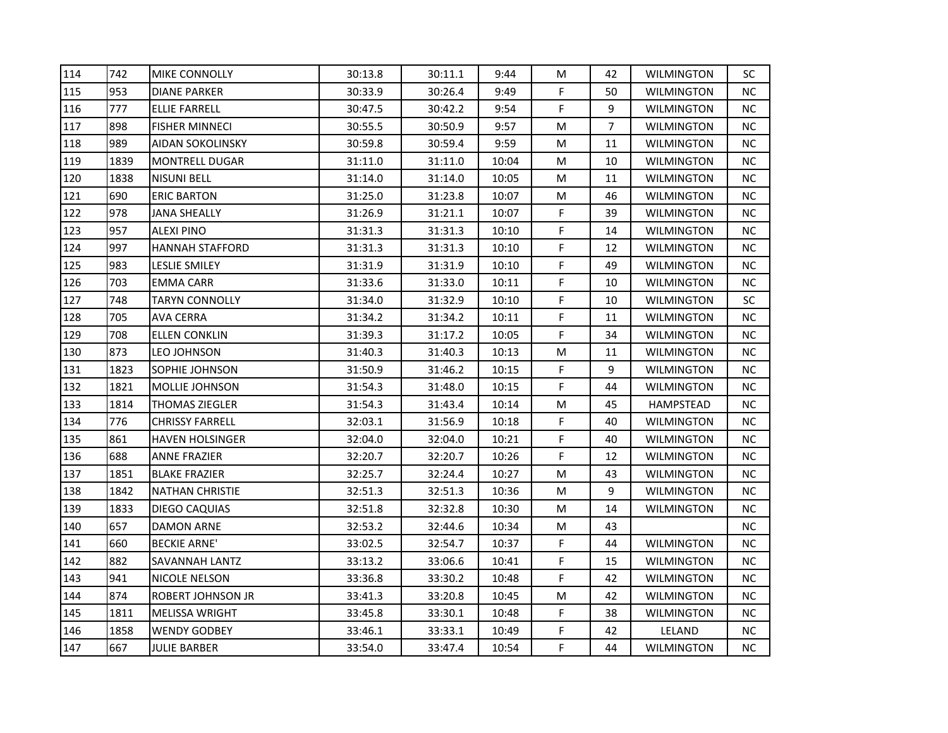| 114 | 742  | <b>MIKE CONNOLLY</b>   | 30:13.8 | 30:11.1 | 9:44  | M           | 42             | WILMINGTON        | SC        |
|-----|------|------------------------|---------|---------|-------|-------------|----------------|-------------------|-----------|
| 115 | 953  | <b>DIANE PARKER</b>    | 30:33.9 | 30:26.4 | 9:49  | F           | 50             | <b>WILMINGTON</b> | <b>NC</b> |
| 116 | 777  | ELLIE FARRELL          | 30:47.5 | 30:42.2 | 9:54  | F           | 9              | <b>WILMINGTON</b> | NС        |
| 117 | 898  | <b>FISHER MINNECI</b>  | 30:55.5 | 30:50.9 | 9:57  | M           | $\overline{7}$ | <b>WILMINGTON</b> | <b>NC</b> |
| 118 | 989  | AIDAN SOKOLINSKY       | 30:59.8 | 30:59.4 | 9:59  | M           | 11             | WILMINGTON        | NС        |
| 119 | 1839 | <b>MONTRELL DUGAR</b>  | 31:11.0 | 31:11.0 | 10:04 | M           | 10             | WILMINGTON        | NС        |
| 120 | 1838 | <b>NISUNI BELL</b>     | 31:14.0 | 31:14.0 | 10:05 | M           | 11             | <b>WILMINGTON</b> | <b>NC</b> |
| 121 | 690  | <b>ERIC BARTON</b>     | 31:25.0 | 31:23.8 | 10:07 | M           | 46             | WILMINGTON        | NС        |
| 122 | 978  | <b>JANA SHEALLY</b>    | 31:26.9 | 31:21.1 | 10:07 | F           | 39             | WILMINGTON        | NС        |
| 123 | 957  | ALEXI PINO             | 31:31.3 | 31:31.3 | 10:10 | F           | 14             | WILMINGTON        | NC.       |
| 124 | 997  | <b>HANNAH STAFFORD</b> | 31:31.3 | 31:31.3 | 10:10 | F           | 12             | WILMINGTON        | NС        |
| 125 | 983  | <b>LESLIE SMILEY</b>   | 31:31.9 | 31:31.9 | 10:10 | F           | 49             | WILMINGTON        | NС        |
| 126 | 703  | EMMA CARR              | 31:33.6 | 31:33.0 | 10:11 | F           | 10             | WILMINGTON        | <b>NC</b> |
| 127 | 748  | <b>TARYN CONNOLLY</b>  | 31:34.0 | 31:32.9 | 10:10 | F           | 10             | <b>WILMINGTON</b> | <b>SC</b> |
| 128 | 705  | AVA CERRA              | 31:34.2 | 31:34.2 | 10:11 | F           | 11             | WILMINGTON        | <b>NC</b> |
| 129 | 708  | <b>ELLEN CONKLIN</b>   | 31:39.3 | 31:17.2 | 10:05 | F           | 34             | WILMINGTON        | NC.       |
| 130 | 873  | LEO JOHNSON            | 31:40.3 | 31:40.3 | 10:13 | M           | 11             | <b>WILMINGTON</b> | NС        |
| 131 | 1823 | SOPHIE JOHNSON         | 31:50.9 | 31:46.2 | 10:15 | $\mathsf F$ | 9              | WILMINGTON        | <b>NC</b> |
| 132 | 1821 | <b>MOLLIE JOHNSON</b>  | 31:54.3 | 31:48.0 | 10:15 | F           | 44             | WILMINGTON        | <b>NC</b> |
| 133 | 1814 | <b>THOMAS ZIEGLER</b>  | 31:54.3 | 31:43.4 | 10:14 | M           | 45             | HAMPSTEAD         | NC.       |
| 134 | 776  | <b>CHRISSY FARRELL</b> | 32:03.1 | 31:56.9 | 10:18 | F           | 40             | WILMINGTON        | NC.       |
| 135 | 861  | <b>HAVEN HOLSINGER</b> | 32:04.0 | 32:04.0 | 10:21 | F           | 40             | WILMINGTON        | NС        |
| 136 | 688  | <b>ANNE FRAZIER</b>    | 32:20.7 | 32:20.7 | 10:26 | F           | 12             | <b>WILMINGTON</b> | <b>NC</b> |
| 137 | 1851 | <b>BLAKE FRAZIER</b>   | 32:25.7 | 32:24.4 | 10:27 | M           | 43             | <b>WILMINGTON</b> | NС        |
| 138 | 1842 | <b>NATHAN CHRISTIE</b> | 32:51.3 | 32:51.3 | 10:36 | M           | 9              | <b>WILMINGTON</b> | NС        |
| 139 | 1833 | DIEGO CAQUIAS          | 32:51.8 | 32:32.8 | 10:30 | M           | 14             | WILMINGTON        | NС        |
| 140 | 657  | DAMON ARNE             | 32:53.2 | 32:44.6 | 10:34 | M           | 43             |                   | NС        |
| 141 | 660  | <b>BECKIE ARNE'</b>    | 33:02.5 | 32:54.7 | 10:37 | F           | 44             | WILMINGTON        | NС        |
| 142 | 882  | SAVANNAH LANTZ         | 33:13.2 | 33:06.6 | 10:41 | F           | 15             | WILMINGTON        | <b>NC</b> |
| 143 | 941  | NICOLE NELSON          | 33:36.8 | 33:30.2 | 10:48 | F           | 42             | WILMINGTON        | NC.       |
| 144 | 874  | ROBERT JOHNSON JR      | 33:41.3 | 33:20.8 | 10:45 | M           | 42             | WILMINGTON        | NC.       |
| 145 | 1811 | <b>MELISSA WRIGHT</b>  | 33:45.8 | 33:30.1 | 10:48 | F           | 38             | <b>WILMINGTON</b> | <b>NC</b> |
| 146 | 1858 | <b>WENDY GODBEY</b>    | 33:46.1 | 33:33.1 | 10:49 | F           | 42             | LELAND            | <b>NC</b> |
| 147 | 667  | <b>JULIE BARBER</b>    | 33:54.0 | 33:47.4 | 10:54 | F           | 44             | WILMINGTON        | <b>NC</b> |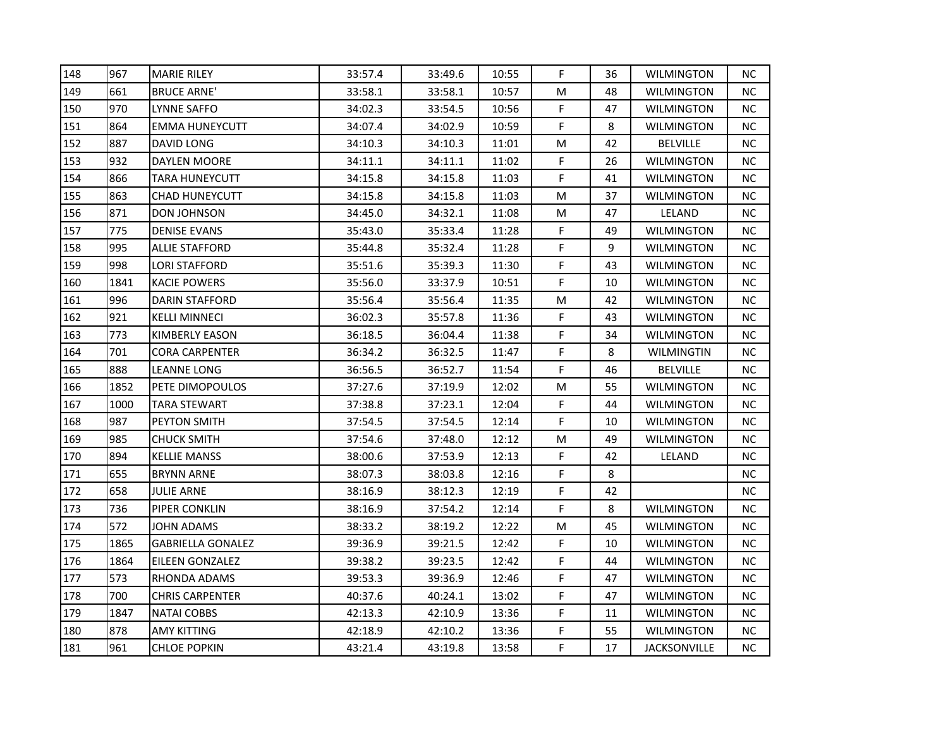| 148 | 967  | <b>MARIE RILEY</b>       | 33:57.4 | 33:49.6 | 10:55 | F  | 36 | <b>WILMINGTON</b>   | NС        |
|-----|------|--------------------------|---------|---------|-------|----|----|---------------------|-----------|
| 149 | 661  | <b>BRUCE ARNE'</b>       | 33:58.1 | 33:58.1 | 10:57 | М  | 48 | <b>WILMINGTON</b>   | <b>NC</b> |
| 150 | 970  | LYNNE SAFFO              | 34:02.3 | 33:54.5 | 10:56 | F  | 47 | <b>WILMINGTON</b>   | NС        |
| 151 | 864  | <b>EMMA HUNEYCUTT</b>    | 34:07.4 | 34:02.9 | 10:59 | F  | 8  | <b>WILMINGTON</b>   | <b>NC</b> |
| 152 | 887  | DAVID LONG               | 34:10.3 | 34:10.3 | 11:01 | М  | 42 | BELVILLE            | NС        |
| 153 | 932  | DAYLEN MOORE             | 34:11.1 | 34:11.1 | 11:02 | F  | 26 | WILMINGTON          | NС        |
| 154 | 866  | <b>TARA HUNEYCUTT</b>    | 34:15.8 | 34:15.8 | 11:03 | F  | 41 | <b>WILMINGTON</b>   | <b>NC</b> |
| 155 | 863  | <b>CHAD HUNEYCUTT</b>    | 34:15.8 | 34:15.8 | 11:03 | М  | 37 | <b>WILMINGTON</b>   | NС        |
| 156 | 871  | DON JOHNSON              | 34:45.0 | 34:32.1 | 11:08 | м  | 47 | LELAND              | <b>NC</b> |
| 157 | 775  | <b>DENISE EVANS</b>      | 35:43.0 | 35:33.4 | 11:28 | F  | 49 | <b>WILMINGTON</b>   | <b>NC</b> |
| 158 | 995  | <b>ALLIE STAFFORD</b>    | 35:44.8 | 35:32.4 | 11:28 | F  | 9  | <b>WILMINGTON</b>   | NС        |
| 159 | 998  | LORI STAFFORD            | 35:51.6 | 35:39.3 | 11:30 | F  | 43 | <b>WILMINGTON</b>   | NС        |
| 160 | 1841 | <b>KACIE POWERS</b>      | 35:56.0 | 33:37.9 | 10:51 | F  | 10 | <b>WILMINGTON</b>   | NС        |
| 161 | 996  | DARIN STAFFORD           | 35:56.4 | 35:56.4 | 11:35 | М  | 42 | <b>WILMINGTON</b>   | <b>NC</b> |
| 162 | 921  | <b>KELLI MINNECI</b>     | 36:02.3 | 35:57.8 | 11:36 | F  | 43 | <b>WILMINGTON</b>   | NС        |
| 163 | 773  | KIMBERLY EASON           | 36:18.5 | 36:04.4 | 11:38 | F  | 34 | WILMINGTON          | NС        |
| 164 | 701  | <b>CORA CARPENTER</b>    | 36:34.2 | 36:32.5 | 11:47 | F  | 8  | WILMINGTIN          | NС        |
| 165 | 888  | <b>LEANNE LONG</b>       | 36:56.5 | 36:52.7 | 11:54 | F  | 46 | <b>BELVILLE</b>     | <b>NC</b> |
| 166 | 1852 | PETE DIMOPOULOS          | 37:27.6 | 37:19.9 | 12:02 | м  | 55 | <b>WILMINGTON</b>   | NС        |
| 167 | 1000 | <b>TARA STEWART</b>      | 37:38.8 | 37:23.1 | 12:04 | F  | 44 | <b>WILMINGTON</b>   | <b>NC</b> |
| 168 | 987  | PEYTON SMITH             | 37:54.5 | 37:54.5 | 12:14 | F  | 10 | <b>WILMINGTON</b>   | NС        |
| 169 | 985  | <b>CHUCK SMITH</b>       | 37:54.6 | 37:48.0 | 12:12 | М  | 49 | <b>WILMINGTON</b>   | NС        |
| 170 | 894  | <b>KELLIE MANSS</b>      | 38:00.6 | 37:53.9 | 12:13 | F  | 42 | LELAND              | <b>NC</b> |
| 171 | 655  | <b>BRYNN ARNE</b>        | 38:07.3 | 38:03.8 | 12:16 | F. | 8  |                     | <b>NC</b> |
| 172 | 658  | <b>JULIE ARNE</b>        | 38:16.9 | 38:12.3 | 12:19 | F  | 42 |                     | NС        |
| 173 | 736  | PIPER CONKLIN            | 38:16.9 | 37:54.2 | 12:14 | F  | 8  | <b>WILMINGTON</b>   | NС        |
| 174 | 572  | JOHN ADAMS               | 38:33.2 | 38:19.2 | 12:22 | M  | 45 | <b>WILMINGTON</b>   | NС        |
| 175 | 1865 | <b>GABRIELLA GONALEZ</b> | 39:36.9 | 39:21.5 | 12:42 | F  | 10 | <b>WILMINGTON</b>   | NС        |
| 176 | 1864 | <b>EILEEN GONZALEZ</b>   | 39:38.2 | 39:23.5 | 12:42 | F  | 44 | <b>WILMINGTON</b>   | <b>NC</b> |
| 177 | 573  | RHONDA ADAMS             | 39:53.3 | 39:36.9 | 12:46 | F  | 47 | <b>WILMINGTON</b>   | NC.       |
| 178 | 700  | <b>CHRIS CARPENTER</b>   | 40:37.6 | 40:24.1 | 13:02 | F  | 47 | <b>WILMINGTON</b>   | NС        |
| 179 | 1847 | <b>NATAI COBBS</b>       | 42:13.3 | 42:10.9 | 13:36 | F  | 11 | <b>WILMINGTON</b>   | NС        |
| 180 | 878  | <b>AMY KITTING</b>       | 42:18.9 | 42:10.2 | 13:36 | F  | 55 | <b>WILMINGTON</b>   | <b>NC</b> |
| 181 | 961  | <b>CHLOE POPKIN</b>      | 43:21.4 | 43:19.8 | 13:58 | F  | 17 | <b>JACKSONVILLE</b> | <b>NC</b> |
|     |      |                          |         |         |       |    |    |                     |           |